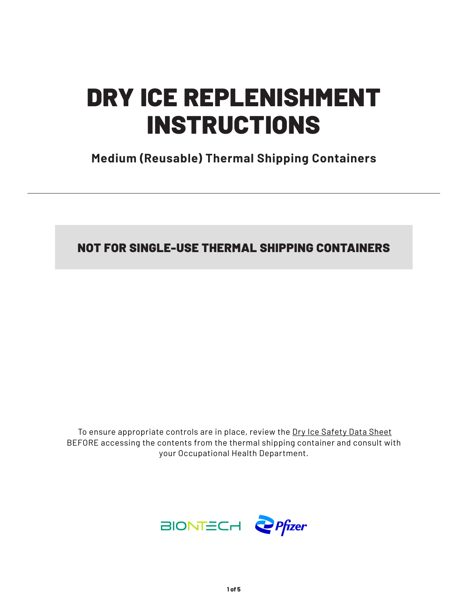# DRY ICE REPLENISHMENT INSTRUCTIONS

**Medium (Reusable) Thermal Shipping Containers**

NOT FOR SINGLE-USE THERMAL SHIPPING CONTAINERS

 To ensure appropriate controls are in place, review the Dry Ice Safety Data Sheet BEFORE accessing the contents from the thermal shipping container and consult with your Occupational Health Department.

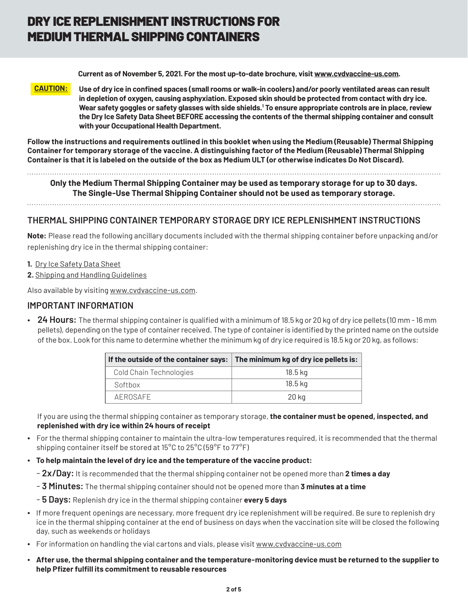# DRY ICE REPLENISHMENT INSTRUCTIONS FOR MEDIUM THERMAL SHIPPING CONTAINERS

 **Current as of November 5, 2021. For the most up-to-date brochure, visit www.cvdvaccine-us.com.**

**CAUTION: Use of dry ice in confined spaces (small rooms or walk-in coolers) and/or poorly ventilated areas can result in depletion of oxygen, causing asphyxiation. Exposed skin should be protected from contact with dry ice. Wear safety goggles or safety glasses with side shields.1 To ensure appropriate controls are in place, review the Dry Ice Safety Data Sheet BEFORE accessing the contents of the thermal shipping container and consult with your Occupational Health Department.**

**Follow the instructions and requirements outlined in this booklet when using the Medium (Reusable) Thermal Shipping Container for temporary storage of the vaccine. A distinguishing factor of the Medium (Reusable) Thermal Shipping Container is that it is labeled on the outside of the box as Medium ULT (or otherwise indicates Do Not Discard).**

**Only the Medium Thermal Shipping Container may be used as temporary storage for up to 30 days. The Single-Use Thermal Shipping Container should not be used as temporary storage.**

### **THERMAL SHIPPING CONTAINER TEMPORARY STORAGE DRY ICE REPLENISHMENT INSTRUCTIONS**

**Note:** Please read the following ancillary documents included with the thermal shipping container before unpacking and/or replenishing dry ice in the thermal shipping container:

- **1.** Dry Ice Safety Data Sheet
- **2.** Shipping and Handling Guidelines

Also available by visiting www.cvdvaccine-us.com.

### **IMPORTANT INFORMATION**

• **24 Hours:** The thermal shipping container is qualified with a minimum of 18.5 kg or 20 kg of dry ice pellets (10 mm - 16 mm pellets), depending on the type of container received. The type of container is identified by the printed name on the outside of the box. Look for this name to determine whether the minimum kg of dry ice required is 18.5 kg or 20 kg, as follows:

| If the outside of the container says: | The minimum kg of dry ice pellets is: |
|---------------------------------------|---------------------------------------|
| Cold Chain Technologies               | 18.5 kg                               |
| Softbox                               | 18.5 ka                               |
| AFROSAFF                              | 20 kg                                 |

If you are using the thermal shipping container as temporary storage, **the container must be opened, inspected, and replenished with dry ice within 24 hours of receipt**

- For the thermal shipping container to maintain the ultra-low temperatures required, it is recommended that the thermal shipping container itself be stored at 15°C to 25°C (59°F to 77°F)
- **To help maintain the level of dry ice and the temperature of the vaccine product:**
	- - **2x/Day:** It is recommended that the thermal shipping container not be opened more than **2 times a day**
	- - **3 Minutes:** The thermal shipping container should not be opened more than **3 minutes at a time**
	- - **5 Days:** Replenish dry ice in the thermal shipping container **every 5 days**
- If more frequent openings are necessary, more frequent dry ice replenishment will be required. Be sure to replenish dry ice in the thermal shipping container at the end of business on days when the vaccination site will be closed the following day, such as weekends or holidays
- For information on handling the vial cartons and vials, please visit www.cvdvaccine-us.com
- **After use, the thermal shipping container and the temperature-monitoring device must be returned to the supplier to help Pfizer fulfill its commitment to reusable resources**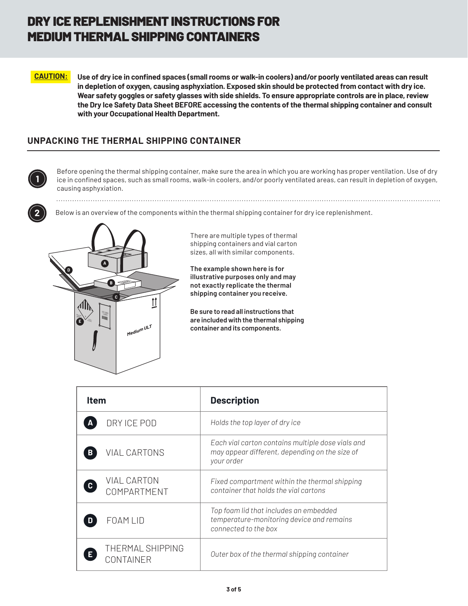# DRY ICE REPLENISHMENT INSTRUCTIONS FOR MEDIUM THERMAL SHIPPING CONTAINERS

**CAUTION: Use of dry ice in confined spaces (small rooms or walk-in coolers) and/or poorly ventilated areas can result in depletion of oxygen, causing asphyxiation. Exposed skin should be protected from contact with dry ice. Wear safety goggles or safety glasses with side shields. To ensure appropriate controls are in place, review the Dry Ice Safety Data Sheet BEFORE accessing the contents of the thermal shipping container and consult with your Occupational Health Department.**

### **UNPACKING THE THERMAL SHIPPING CONTAINER**



Before opening the thermal shipping container, make sure the area in which you are working has proper ventilation. Use of dry ice in confined spaces, such as small rooms, walk-in coolers, and/or poorly ventilated areas, can result in depletion of oxygen, causing asphyxiation.



Below is an overview of the components within the thermal shipping container for dry ice replenishment.



There are multiple types of thermal shipping containers and vial carton sizes, all with similar components.

**The example shown here is for illustrative purposes only and may not exactly replicate the thermal shipping container you receive.**

**Be sure to read all instructions that are included with the thermal shipping container and its components.**

| <b>Item</b>                                       | <b>Description</b>                                                                                                |
|---------------------------------------------------|-------------------------------------------------------------------------------------------------------------------|
| DRY ICE POD                                       | Holds the top layer of dry ice                                                                                    |
| <b>VIAL CARTONS</b><br>В                          | Each vial carton contains multiple dose vials and<br>may appear different, depending on the size of<br>your order |
| <b>VIAL CARTON</b><br>$\mathbf{c}$<br>COMPARTMENT | Fixed compartment within the thermal shipping<br>container that holds the vial cartons                            |
| <b>FOAM LID</b>                                   | Top foam lid that includes an embedded<br>temperature-monitoring device and remains<br>connected to the box       |
| THERMAL SHIPPING<br><b>CONTAINER</b>              | Outer box of the thermal shipping container                                                                       |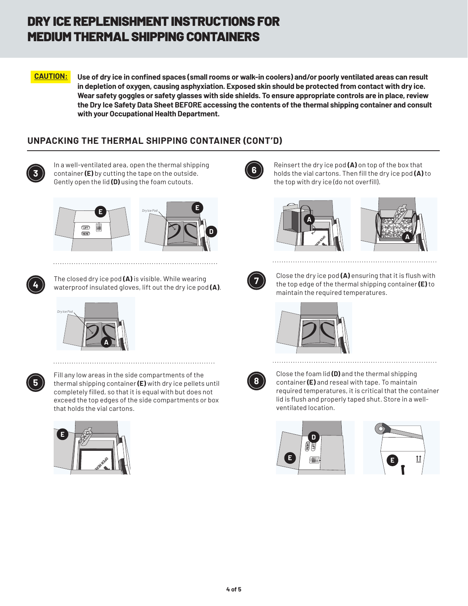# DRY ICE REPLENISHMENT INSTRUCTIONS FOR MEDIUM THERMAL SHIPPING CONTAINERS

**CAUTION: Use of dry ice in confined spaces (small rooms or walk-in coolers) and/or poorly ventilated areas can result in depletion of oxygen, causing asphyxiation. Exposed skin should be protected from contact with dry ice. Wear safety goggles or safety glasses with side shields. To ensure appropriate controls are in place, review the Dry Ice Safety Data Sheet BEFORE accessing the contents of the thermal shipping container and consult with your Occupational Health Department.**

## **UNPACKING THE THERMAL SHIPPING CONTAINER (CONT'D)**



In a well-ventilated area, open the thermal shipping container **(E)** by cutting the tape on the outside. Gently open the lid **(D)** using the foam cutouts.







The closed dry ice pod **(A)** is visible. While wearing **<sup>4</sup>** waterproof insulated gloves, lift out the dry ice pod **(A)**.





Fill any low areas in the side compartments of the thermal shipping container **(E)** with dry ice pellets until completely filled, so that it is equal with but does not exceed the top edges of the side compartments or box that holds the vial cartons.





Reinsert the dry ice pod **(A)** on top of the box that holds the vial cartons. Then fill the dry ice pod **(A)** to the top with dry ice (do not overfill).







Close the dry ice pod **(A)** ensuring that it is flush with the top edge of the thermal shipping container **(E)** to maintain the required temperatures.





Close the foam lid **(D)** and the thermal shipping container **(E)** and reseal with tape. To maintain required temperatures, it is critical that the container lid is flush and properly taped shut. Store in a wellventilated location.